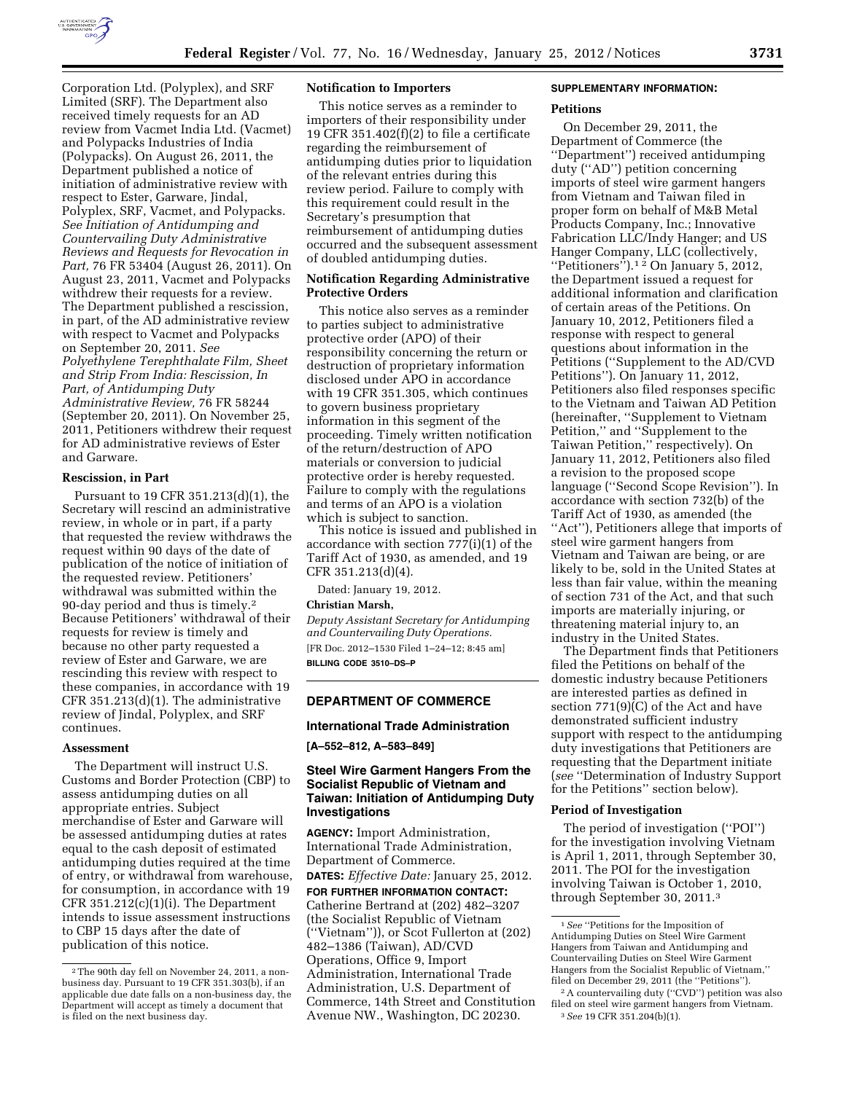

Corporation Ltd. (Polyplex), and SRF Limited (SRF). The Department also received timely requests for an AD review from Vacmet India Ltd. (Vacmet) and Polypacks Industries of India (Polypacks). On August 26, 2011, the Department published a notice of initiation of administrative review with respect to Ester, Garware, Jindal, Polyplex, SRF, Vacmet, and Polypacks. *See Initiation of Antidumping and Countervailing Duty Administrative Reviews and Requests for Revocation in Part,* 76 FR 53404 (August 26, 2011). On August 23, 2011, Vacmet and Polypacks withdrew their requests for a review. The Department published a rescission, in part, of the AD administrative review with respect to Vacmet and Polypacks on September 20, 2011. *See Polyethylene Terephthalate Film, Sheet and Strip From India: Rescission, In Part, of Antidumping Duty Administrative Review,* 76 FR 58244 (September 20, 2011). On November 25, 2011, Petitioners withdrew their request for AD administrative reviews of Ester and Garware.

# **Rescission, in Part**

Pursuant to 19 CFR 351.213(d)(1), the Secretary will rescind an administrative review, in whole or in part, if a party that requested the review withdraws the request within 90 days of the date of publication of the notice of initiation of the requested review. Petitioners' withdrawal was submitted within the 90-day period and thus is timely.2 Because Petitioners' withdrawal of their requests for review is timely and because no other party requested a review of Ester and Garware, we are rescinding this review with respect to these companies, in accordance with 19 CFR 351.213(d)(1). The administrative review of Jindal, Polyplex, and SRF continues.

### **Assessment**

The Department will instruct U.S. Customs and Border Protection (CBP) to assess antidumping duties on all appropriate entries. Subject merchandise of Ester and Garware will be assessed antidumping duties at rates equal to the cash deposit of estimated antidumping duties required at the time of entry, or withdrawal from warehouse, for consumption, in accordance with 19 CFR 351.212(c)(1)(i). The Department intends to issue assessment instructions to CBP 15 days after the date of publication of this notice.

### **Notification to Importers**

This notice serves as a reminder to importers of their responsibility under 19 CFR 351.402 $(f)(2)$  to file a certificate regarding the reimbursement of antidumping duties prior to liquidation of the relevant entries during this review period. Failure to comply with this requirement could result in the Secretary's presumption that reimbursement of antidumping duties occurred and the subsequent assessment of doubled antidumping duties.

# **Notification Regarding Administrative Protective Orders**

This notice also serves as a reminder to parties subject to administrative protective order (APO) of their responsibility concerning the return or destruction of proprietary information disclosed under APO in accordance with 19 CFR 351.305, which continues to govern business proprietary information in this segment of the proceeding. Timely written notification of the return/destruction of APO materials or conversion to judicial protective order is hereby requested. Failure to comply with the regulations and terms of an APO is a violation which is subject to sanction.

This notice is issued and published in accordance with section 777(i)(1) of the Tariff Act of 1930, as amended, and 19 CFR 351.213(d)(4).

Dated: January 19, 2012.

# **Christian Marsh,**

*Deputy Assistant Secretary for Antidumping and Countervailing Duty Operations.*  [FR Doc. 2012–1530 Filed 1–24–12; 8:45 am] **BILLING CODE 3510–DS–P** 

#### **DEPARTMENT OF COMMERCE**

### **International Trade Administration**

**[A–552–812, A–583–849]** 

# **Steel Wire Garment Hangers From the Socialist Republic of Vietnam and Taiwan: Initiation of Antidumping Duty Investigations**

**AGENCY:** Import Administration, International Trade Administration, Department of Commerce.

**DATES:** *Effective Date:* January 25, 2012.

**FOR FURTHER INFORMATION CONTACT:**  Catherine Bertrand at (202) 482–3207 (the Socialist Republic of Vietnam (''Vietnam'')), or Scot Fullerton at (202) 482–1386 (Taiwan), AD/CVD Operations, Office 9, Import Administration, International Trade Administration, U.S. Department of Commerce, 14th Street and Constitution Avenue NW., Washington, DC 20230.

# **SUPPLEMENTARY INFORMATION:**

## **Petitions**

On December 29, 2011, the Department of Commerce (the ''Department'') received antidumping duty (''AD'') petition concerning imports of steel wire garment hangers from Vietnam and Taiwan filed in proper form on behalf of M&B Metal Products Company, Inc.; Innovative Fabrication LLC/Indy Hanger; and US Hanger Company, LLC (collectively, ''Petitioners'').1 2 On January 5, 2012, the Department issued a request for additional information and clarification of certain areas of the Petitions. On January 10, 2012, Petitioners filed a response with respect to general questions about information in the Petitions (''Supplement to the AD/CVD Petitions''). On January 11, 2012, Petitioners also filed responses specific to the Vietnam and Taiwan AD Petition (hereinafter, ''Supplement to Vietnam Petition,'' and ''Supplement to the Taiwan Petition,'' respectively). On January 11, 2012, Petitioners also filed a revision to the proposed scope language (''Second Scope Revision''). In accordance with section 732(b) of the Tariff Act of 1930, as amended (the ''Act''), Petitioners allege that imports of steel wire garment hangers from Vietnam and Taiwan are being, or are likely to be, sold in the United States at less than fair value, within the meaning of section 731 of the Act, and that such imports are materially injuring, or threatening material injury to, an industry in the United States.

The Department finds that Petitioners filed the Petitions on behalf of the domestic industry because Petitioners are interested parties as defined in section 771(9)(C) of the Act and have demonstrated sufficient industry support with respect to the antidumping duty investigations that Petitioners are requesting that the Department initiate (*see* ''Determination of Industry Support for the Petitions'' section below).

#### **Period of Investigation**

The period of investigation (''POI'') for the investigation involving Vietnam is April 1, 2011, through September 30, 2011. The POI for the investigation involving Taiwan is October 1, 2010, through September 30, 2011.3

<sup>2</sup>The 90th day fell on November 24, 2011, a nonbusiness day. Pursuant to 19 CFR 351.303(b), if an applicable due date falls on a non-business day, the Department will accept as timely a document that is filed on the next business day.

<sup>1</sup>*See* ''Petitions for the Imposition of Antidumping Duties on Steel Wire Garment Hangers from Taiwan and Antidumping and Countervailing Duties on Steel Wire Garment Hangers from the Socialist Republic of Vietnam,'' filed on December 29, 2011 (the "Petitions").

<sup>2</sup>A countervailing duty (''CVD'') petition was also filed on steel wire garment hangers from Vietnam. 3*See* 19 CFR 351.204(b)(1).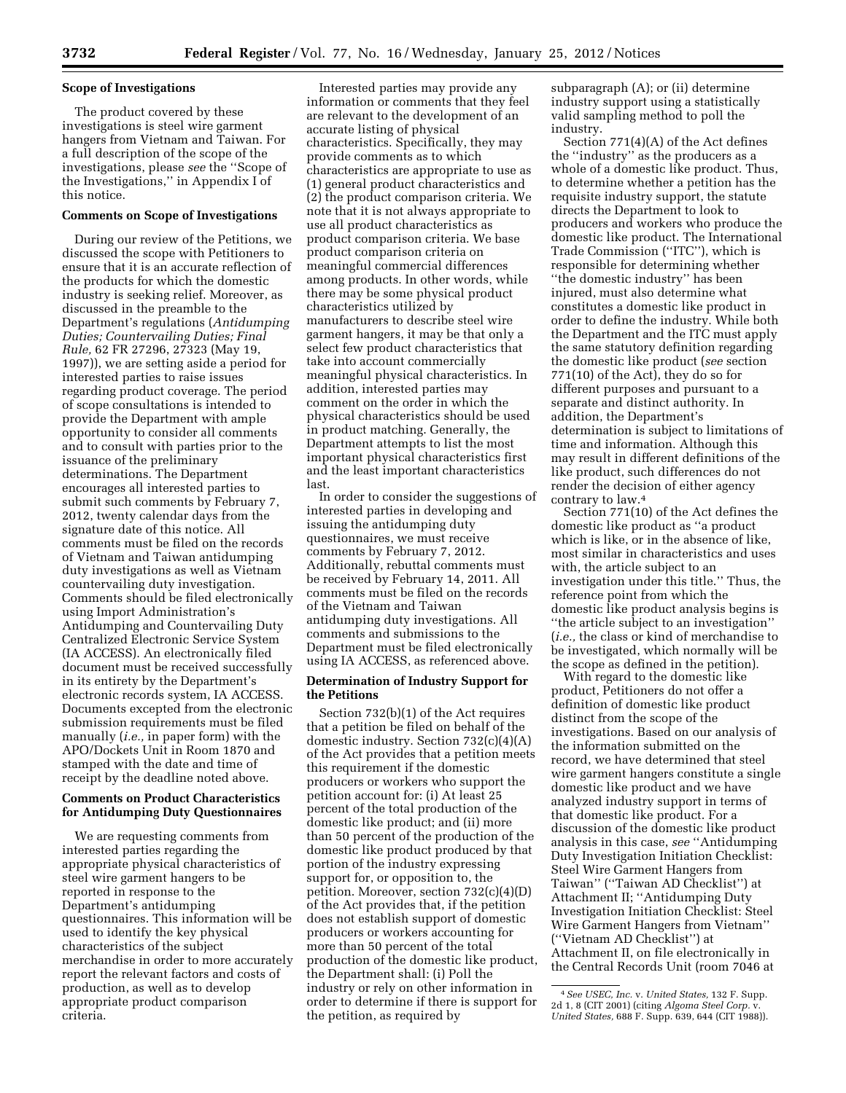# **Scope of Investigations**

The product covered by these investigations is steel wire garment hangers from Vietnam and Taiwan. For a full description of the scope of the investigations, please *see* the ''Scope of the Investigations,'' in Appendix I of this notice.

## **Comments on Scope of Investigations**

During our review of the Petitions, we discussed the scope with Petitioners to ensure that it is an accurate reflection of the products for which the domestic industry is seeking relief. Moreover, as discussed in the preamble to the Department's regulations (*Antidumping Duties; Countervailing Duties; Final Rule,* 62 FR 27296, 27323 (May 19, 1997)), we are setting aside a period for interested parties to raise issues regarding product coverage. The period of scope consultations is intended to provide the Department with ample opportunity to consider all comments and to consult with parties prior to the issuance of the preliminary determinations. The Department encourages all interested parties to submit such comments by February 7, 2012, twenty calendar days from the signature date of this notice. All comments must be filed on the records of Vietnam and Taiwan antidumping duty investigations as well as Vietnam countervailing duty investigation. Comments should be filed electronically using Import Administration's Antidumping and Countervailing Duty Centralized Electronic Service System (IA ACCESS). An electronically filed document must be received successfully in its entirety by the Department's electronic records system, IA ACCESS. Documents excepted from the electronic submission requirements must be filed manually (*i.e.,* in paper form) with the APO/Dockets Unit in Room 1870 and stamped with the date and time of receipt by the deadline noted above.

# **Comments on Product Characteristics for Antidumping Duty Questionnaires**

We are requesting comments from interested parties regarding the appropriate physical characteristics of steel wire garment hangers to be reported in response to the Department's antidumping questionnaires. This information will be used to identify the key physical characteristics of the subject merchandise in order to more accurately report the relevant factors and costs of production, as well as to develop appropriate product comparison criteria.

Interested parties may provide any information or comments that they feel are relevant to the development of an accurate listing of physical characteristics. Specifically, they may provide comments as to which characteristics are appropriate to use as (1) general product characteristics and (2) the product comparison criteria. We note that it is not always appropriate to use all product characteristics as product comparison criteria. We base product comparison criteria on meaningful commercial differences among products. In other words, while there may be some physical product characteristics utilized by manufacturers to describe steel wire garment hangers, it may be that only a select few product characteristics that take into account commercially meaningful physical characteristics. In addition, interested parties may comment on the order in which the physical characteristics should be used in product matching. Generally, the Department attempts to list the most important physical characteristics first and the least important characteristics last.

In order to consider the suggestions of interested parties in developing and issuing the antidumping duty questionnaires, we must receive comments by February 7, 2012. Additionally, rebuttal comments must be received by February 14, 2011. All comments must be filed on the records of the Vietnam and Taiwan antidumping duty investigations. All comments and submissions to the Department must be filed electronically using IA ACCESS, as referenced above.

# **Determination of Industry Support for the Petitions**

Section 732(b)(1) of the Act requires that a petition be filed on behalf of the domestic industry. Section 732(c)(4)(A) of the Act provides that a petition meets this requirement if the domestic producers or workers who support the petition account for: (i) At least 25 percent of the total production of the domestic like product; and (ii) more than 50 percent of the production of the domestic like product produced by that portion of the industry expressing support for, or opposition to, the petition. Moreover, section 732(c)(4)(D) of the Act provides that, if the petition does not establish support of domestic producers or workers accounting for more than 50 percent of the total production of the domestic like product, the Department shall: (i) Poll the industry or rely on other information in order to determine if there is support for the petition, as required by

subparagraph (A); or (ii) determine industry support using a statistically valid sampling method to poll the industry.

Section 771(4)(A) of the Act defines the ''industry'' as the producers as a whole of a domestic like product. Thus, to determine whether a petition has the requisite industry support, the statute directs the Department to look to producers and workers who produce the domestic like product. The International Trade Commission (''ITC''), which is responsible for determining whether ''the domestic industry'' has been injured, must also determine what constitutes a domestic like product in order to define the industry. While both the Department and the ITC must apply the same statutory definition regarding the domestic like product (*see* section 771(10) of the Act), they do so for different purposes and pursuant to a separate and distinct authority. In addition, the Department's determination is subject to limitations of time and information. Although this may result in different definitions of the like product, such differences do not render the decision of either agency contrary to law.4

Section 771(10) of the Act defines the domestic like product as ''a product which is like, or in the absence of like, most similar in characteristics and uses with, the article subject to an investigation under this title.'' Thus, the reference point from which the domestic like product analysis begins is ''the article subject to an investigation'' (*i.e.,* the class or kind of merchandise to be investigated, which normally will be the scope as defined in the petition).

With regard to the domestic like product, Petitioners do not offer a definition of domestic like product distinct from the scope of the investigations. Based on our analysis of the information submitted on the record, we have determined that steel wire garment hangers constitute a single domestic like product and we have analyzed industry support in terms of that domestic like product. For a discussion of the domestic like product analysis in this case, *see* ''Antidumping Duty Investigation Initiation Checklist: Steel Wire Garment Hangers from Taiwan'' (''Taiwan AD Checklist'') at Attachment II; ''Antidumping Duty Investigation Initiation Checklist: Steel Wire Garment Hangers from Vietnam'' (''Vietnam AD Checklist'') at Attachment II, on file electronically in the Central Records Unit (room 7046 at

<sup>4</sup>*See USEC, Inc.* v. *United States,* 132 F. Supp. 2d 1, 8 (CIT 2001) (citing *Algoma Steel Corp.* v. *United States,* 688 F. Supp. 639, 644 (CIT 1988)).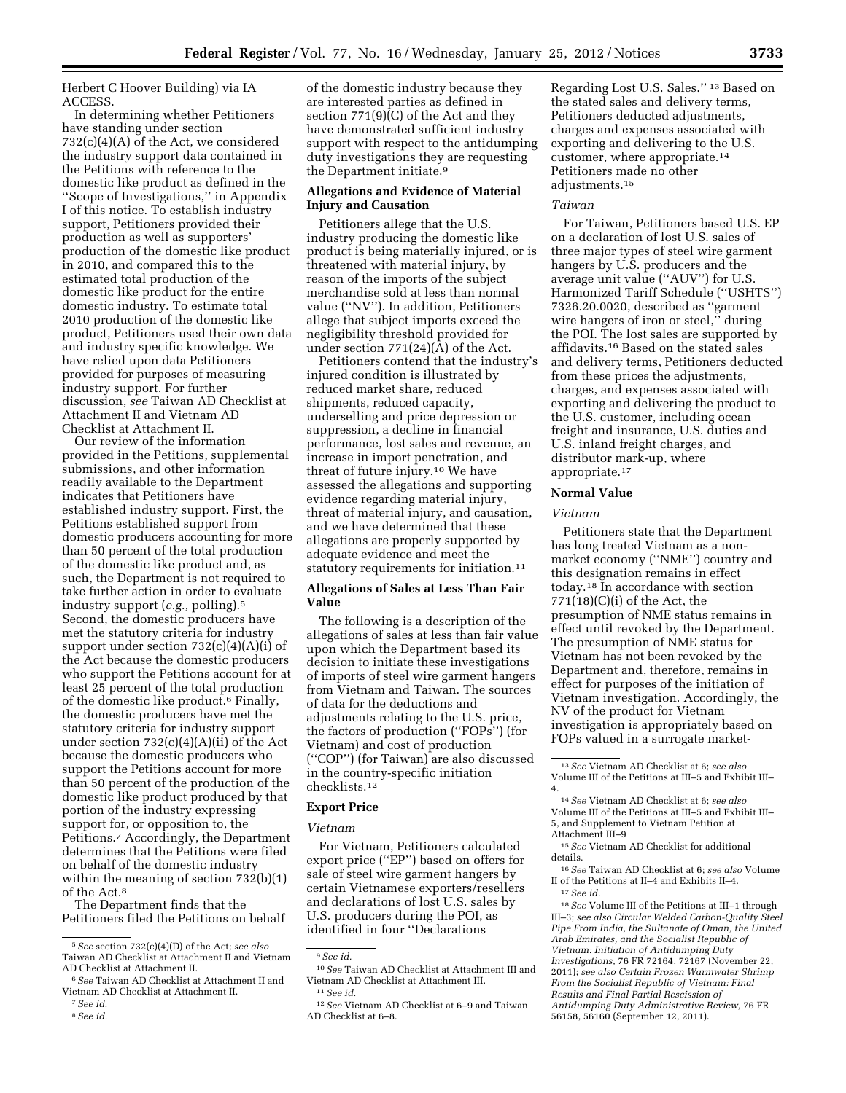Herbert C Hoover Building) via IA

ACCESS. In determining whether Petitioners have standing under section 732(c)(4)(A) of the Act, we considered the industry support data contained in the Petitions with reference to the domestic like product as defined in the ''Scope of Investigations,'' in Appendix I of this notice. To establish industry support, Petitioners provided their production as well as supporters' production of the domestic like product in 2010, and compared this to the estimated total production of the domestic like product for the entire domestic industry. To estimate total 2010 production of the domestic like product, Petitioners used their own data and industry specific knowledge. We have relied upon data Petitioners provided for purposes of measuring industry support. For further discussion, *see* Taiwan AD Checklist at Attachment II and Vietnam AD Checklist at Attachment II.

Our review of the information provided in the Petitions, supplemental submissions, and other information readily available to the Department indicates that Petitioners have established industry support. First, the Petitions established support from domestic producers accounting for more than 50 percent of the total production of the domestic like product and, as such, the Department is not required to take further action in order to evaluate industry support (*e.g.,* polling).5 Second, the domestic producers have met the statutory criteria for industry support under section 732(c)(4)(A)(i) of the Act because the domestic producers who support the Petitions account for at least 25 percent of the total production of the domestic like product.6 Finally, the domestic producers have met the statutory criteria for industry support under section 732(c)(4)(A)(ii) of the Act because the domestic producers who support the Petitions account for more than 50 percent of the production of the domestic like product produced by that portion of the industry expressing support for, or opposition to, the Petitions.7 Accordingly, the Department determines that the Petitions were filed on behalf of the domestic industry within the meaning of section 732(b)(1) of the Act  $8$ 

The Department finds that the Petitioners filed the Petitions on behalf

8*See id.* 

of the domestic industry because they are interested parties as defined in section 771(9)(C) of the Act and they have demonstrated sufficient industry support with respect to the antidumping duty investigations they are requesting the Department initiate.<sup>9</sup>

# **Allegations and Evidence of Material Injury and Causation**

Petitioners allege that the U.S. industry producing the domestic like product is being materially injured, or is threatened with material injury, by reason of the imports of the subject merchandise sold at less than normal value (''NV''). In addition, Petitioners allege that subject imports exceed the negligibility threshold provided for under section 771(24)(A) of the Act.

Petitioners contend that the industry's injured condition is illustrated by reduced market share, reduced shipments, reduced capacity, underselling and price depression or suppression, a decline in financial performance, lost sales and revenue, an increase in import penetration, and threat of future injury.10 We have assessed the allegations and supporting evidence regarding material injury, threat of material injury, and causation, and we have determined that these allegations are properly supported by adequate evidence and meet the statutory requirements for initiation.<sup>11</sup>

# **Allegations of Sales at Less Than Fair Value**

The following is a description of the allegations of sales at less than fair value upon which the Department based its decision to initiate these investigations of imports of steel wire garment hangers from Vietnam and Taiwan. The sources of data for the deductions and adjustments relating to the U.S. price, the factors of production (''FOPs'') (for Vietnam) and cost of production (''COP'') (for Taiwan) are also discussed in the country-specific initiation checklists.12

# **Export Price**

#### *Vietnam*

For Vietnam, Petitioners calculated export price (''EP'') based on offers for sale of steel wire garment hangers by certain Vietnamese exporters/resellers and declarations of lost U.S. sales by U.S. producers during the POI, as identified in four ''Declarations

Regarding Lost U.S. Sales.'' 13 Based on the stated sales and delivery terms, Petitioners deducted adjustments, charges and expenses associated with exporting and delivering to the U.S. customer, where appropriate.14 Petitioners made no other adjustments.15

# *Taiwan*

For Taiwan, Petitioners based U.S. EP on a declaration of lost U.S. sales of three major types of steel wire garment hangers by U.S. producers and the average unit value (''AUV'') for U.S. Harmonized Tariff Schedule (''USHTS'') 7326.20.0020, described as ''garment wire hangers of iron or steel," during the POI. The lost sales are supported by affidavits.16 Based on the stated sales and delivery terms, Petitioners deducted from these prices the adjustments, charges, and expenses associated with exporting and delivering the product to the U.S. customer, including ocean freight and insurance, U.S. duties and U.S. inland freight charges, and distributor mark-up, where appropriate.17

# **Normal Value**

### *Vietnam*

Petitioners state that the Department has long treated Vietnam as a nonmarket economy (''NME'') country and this designation remains in effect today.18 In accordance with section  $771(18)(C)(i)$  of the Act, the presumption of NME status remains in effect until revoked by the Department. The presumption of NME status for Vietnam has not been revoked by the Department and, therefore, remains in effect for purposes of the initiation of Vietnam investigation. Accordingly, the NV of the product for Vietnam investigation is appropriately based on FOPs valued in a surrogate market-

15*See* Vietnam AD Checklist for additional details.

<sup>5</sup>*See* section 732(c)(4)(D) of the Act; *see also*  Taiwan AD Checklist at Attachment II and Vietnam AD Checklist at Attachment II.

<sup>6</sup>*See* Taiwan AD Checklist at Attachment II and Vietnam AD Checklist at Attachment II.

<sup>7</sup>*See id.* 

<sup>9</sup>*See id.* 

<sup>10</sup>*See* Taiwan AD Checklist at Attachment III and Vietnam AD Checklist at Attachment III. 11*See id.* 

<sup>12</sup>*See* Vietnam AD Checklist at 6–9 and Taiwan AD Checklist at 6–8.

<sup>13</sup>*See* Vietnam AD Checklist at 6; *see also*  Volume III of the Petitions at III–5 and Exhibit III– 4.

<sup>14</sup>*See* Vietnam AD Checklist at 6; *see also*  Volume III of the Petitions at III–5 and Exhibit III– 5, and Supplement to Vietnam Petition at Attachment III–9

<sup>16</sup>*See* Taiwan AD Checklist at 6; *see also* Volume II of the Petitions at II–4 and Exhibits II–4. 17*See id.* 

<sup>18</sup>*See* Volume III of the Petitions at III–1 through III–3; *see also Circular Welded Carbon-Quality Steel Pipe From India, the Sultanate of Oman, the United Arab Emirates, and the Socialist Republic of Vietnam: Initiation of Antidumping Duty Investigations,* 76 FR 72164, 72167 (November 22, 2011); *see also Certain Frozen Warmwater Shrimp From the Socialist Republic of Vietnam: Final Results and Final Partial Rescission of Antidumping Duty Administrative Review,* 76 FR 56158, 56160 (September 12, 2011).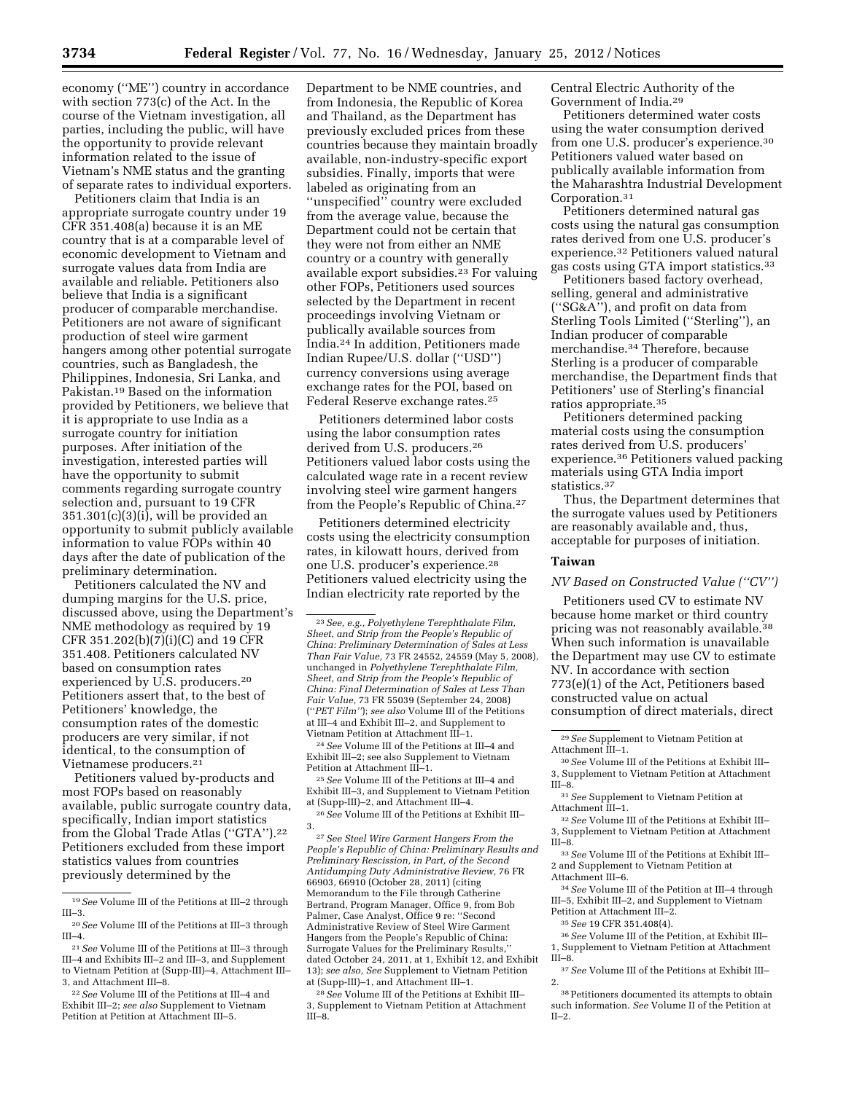economy (''ME'') country in accordance with section 773(c) of the Act. In the course of the Vietnam investigation, all parties, including the public, will have the opportunity to provide relevant information related to the issue of Vietnam's NME status and the granting of separate rates to individual exporters.

Petitioners claim that India is an appropriate surrogate country under 19 CFR 351.408(a) because it is an ME country that is at a comparable level of economic development to Vietnam and surrogate values data from India are available and reliable. Petitioners also believe that India is a significant producer of comparable merchandise. Petitioners are not aware of significant production of steel wire garment hangers among other potential surrogate countries, such as Bangladesh, the Philippines, Indonesia, Sri Lanka, and Pakistan.19 Based on the information provided by Petitioners, we believe that it is appropriate to use India as a surrogate country for initiation purposes. After initiation of the investigation, interested parties will have the opportunity to submit comments regarding surrogate country selection and, pursuant to 19 CFR  $351.301(c)(3)(i)$ , will be provided an opportunity to submit publicly available information to value FOPs within 40 days after the date of publication of the preliminary determination.

Petitioners calculated the NV and dumping margins for the U.S. price, discussed above, using the Department's NME methodology as required by 19 CFR 351.202(b)(7)(i)(C) and 19 CFR 351.408. Petitioners calculated NV based on consumption rates experienced by U.S. producers.20 Petitioners assert that, to the best of Petitioners' knowledge, the consumption rates of the domestic producers are very similar, if not identical, to the consumption of Vietnamese producers.21

Petitioners valued by-products and most FOPs based on reasonably available, public surrogate country data, specifically, Indian import statistics from the Global Trade Atlas ("GTA").<sup>22</sup> Petitioners excluded from these import statistics values from countries previously determined by the

Department to be NME countries, and from Indonesia, the Republic of Korea and Thailand, as the Department has previously excluded prices from these countries because they maintain broadly available, non-industry-specific export subsidies. Finally, imports that were labeled as originating from an ''unspecified'' country were excluded from the average value, because the Department could not be certain that they were not from either an NME country or a country with generally available export subsidies.23 For valuing other FOPs, Petitioners used sources selected by the Department in recent proceedings involving Vietnam or publically available sources from India.24 In addition, Petitioners made Indian Rupee/U.S. dollar (''USD'') currency conversions using average exchange rates for the POI, based on Federal Reserve exchange rates.25

Petitioners determined labor costs using the labor consumption rates derived from U.S. producers.26 Petitioners valued labor costs using the calculated wage rate in a recent review involving steel wire garment hangers from the People's Republic of China.27

Petitioners determined electricity costs using the electricity consumption rates, in kilowatt hours, derived from one U.S. producer's experience.28 Petitioners valued electricity using the Indian electricity rate reported by the

24*See* Volume III of the Petitions at III–4 and Exhibit III–2; see also Supplement to Vietnam Petition at Attachment III–1.

25*See* Volume III of the Petitions at III–4 and Exhibit III–3, and Supplement to Vietnam Petition at (Supp-III)–2, and Attachment III–4.

26*See* Volume III of the Petitions at Exhibit III– 3.

27*See Steel Wire Garment Hangers From the People's Republic of China: Preliminary Results and Preliminary Rescission, in Part, of the Second Antidumping Duty Administrative Review,* 76 FR 66903, 66910 (October 28, 2011) (citing Memorandum to the File through Catherine Bertrand, Program Manager, Office 9, from Bob Palmer, Case Analyst, Office 9 re: ''Second Administrative Review of Steel Wire Garment Hangers from the People's Republic of China: Surrogate Values for the Preliminary Results,'' dated October 24, 2011, at 1, Exhibit 12, and Exhibit 13); *see also, See* Supplement to Vietnam Petition at (Supp-III)–1, and Attachment III–1.

28*See* Volume III of the Petitions at Exhibit III– 3, Supplement to Vietnam Petition at Attachment III–8.

Central Electric Authority of the Government of India.29

Petitioners determined water costs using the water consumption derived from one U.S. producer's experience.30 Petitioners valued water based on publically available information from the Maharashtra Industrial Development Corporation.31

Petitioners determined natural gas costs using the natural gas consumption rates derived from one U.S. producer's experience.32 Petitioners valued natural gas costs using GTA import statistics.33

Petitioners based factory overhead, selling, general and administrative (''SG&A''), and profit on data from Sterling Tools Limited (''Sterling''), an Indian producer of comparable merchandise.34 Therefore, because Sterling is a producer of comparable merchandise, the Department finds that Petitioners' use of Sterling's financial ratios appropriate.35

Petitioners determined packing material costs using the consumption rates derived from U.S. producers' experience.36 Petitioners valued packing materials using GTA India import statistics.37

Thus, the Department determines that the surrogate values used by Petitioners are reasonably available and, thus, acceptable for purposes of initiation.

# **Taiwan**

*NV Based on Constructed Value (''CV'')* 

Petitioners used CV to estimate NV because home market or third country pricing was not reasonably available.<sup>38</sup> When such information is unavailable the Department may use CV to estimate NV. In accordance with section 773(e)(1) of the Act, Petitioners based constructed value on actual consumption of direct materials, direct

31*See* Supplement to Vietnam Petition at Attachment III–1.

32*See* Volume III of the Petitions at Exhibit III– 3, Supplement to Vietnam Petition at Attachment III–8.

33*See* Volume III of the Petitions at Exhibit III– 2 and Supplement to Vietnam Petition at Attachment III–6.

34*See* Volume III of the Petition at III–4 through III–5, Exhibit III–2, and Supplement to Vietnam Petition at Attachment III–2.

35*See* 19 CFR 351.408(4).

36*See* Volume III of the Petition, at Exhibit III– 1, Supplement to Vietnam Petition at Attachment III–8.

37*See* Volume III of the Petitions at Exhibit III– 2.

38Petitioners documented its attempts to obtain such information. *See* Volume II of the Petition at II–2.

<sup>19</sup>*See* Volume III of the Petitions at III–2 through III–3.

<sup>20</sup>*See* Volume III of the Petitions at III–3 through III–4.

<sup>21</sup>*See* Volume III of the Petitions at III–3 through III–4 and Exhibits III–2 and III–3, and Supplement to Vietnam Petition at (Supp-III)–4, Attachment III– 3, and Attachment III–8.

<sup>22</sup>*See* Volume III of the Petitions at III–4 and Exhibit III–2; *see also* Supplement to Vietnam Petition at Petition at Attachment III–5.

<sup>23</sup>*See, e.g., Polyethylene Terephthalate Film, Sheet, and Strip from the People's Republic of China: Preliminary Determination of Sales at Less Than Fair Value,* 73 FR 24552, 24559 (May 5, 2008), unchanged in *Polyethylene Terephthalate Film, Sheet, and Strip from the People's Republic of China: Final Determination of Sales at Less Than Fair Value,* 73 FR 55039 (September 24, 2008) (''*PET Film''*); *see also* Volume III of the Petitions at III–4 and Exhibit III–2, and Supplement to Vietnam Petition at Attachment III–1.

<sup>29</sup>*See* Supplement to Vietnam Petition at Attachment III–1.

<sup>30</sup>*See* Volume III of the Petitions at Exhibit III– 3, Supplement to Vietnam Petition at Attachment III–8.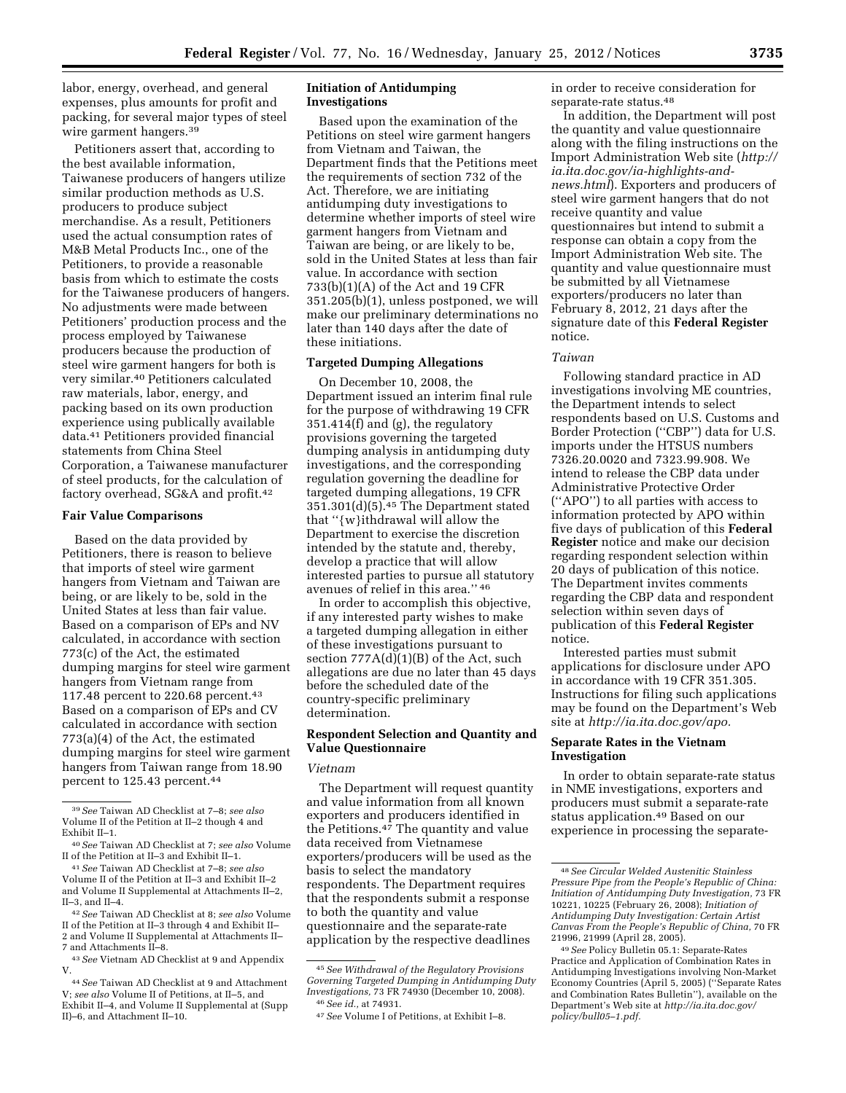labor, energy, overhead, and general expenses, plus amounts for profit and packing, for several major types of steel wire garment hangers.39

Petitioners assert that, according to the best available information, Taiwanese producers of hangers utilize similar production methods as U.S. producers to produce subject merchandise. As a result, Petitioners used the actual consumption rates of M&B Metal Products Inc., one of the Petitioners, to provide a reasonable basis from which to estimate the costs for the Taiwanese producers of hangers. No adjustments were made between Petitioners' production process and the process employed by Taiwanese producers because the production of steel wire garment hangers for both is very similar.40 Petitioners calculated raw materials, labor, energy, and packing based on its own production experience using publically available data.41 Petitioners provided financial statements from China Steel Corporation, a Taiwanese manufacturer of steel products, for the calculation of factory overhead, SG&A and profit.42

## **Fair Value Comparisons**

Based on the data provided by Petitioners, there is reason to believe that imports of steel wire garment hangers from Vietnam and Taiwan are being, or are likely to be, sold in the United States at less than fair value. Based on a comparison of EPs and NV calculated, in accordance with section 773(c) of the Act, the estimated dumping margins for steel wire garment hangers from Vietnam range from 117.48 percent to 220.68 percent.43 Based on a comparison of EPs and CV calculated in accordance with section 773(a)(4) of the Act, the estimated dumping margins for steel wire garment hangers from Taiwan range from 18.90 percent to 125.43 percent.44

# **Initiation of Antidumping Investigations**

Based upon the examination of the Petitions on steel wire garment hangers from Vietnam and Taiwan, the Department finds that the Petitions meet the requirements of section 732 of the Act. Therefore, we are initiating antidumping duty investigations to determine whether imports of steel wire garment hangers from Vietnam and Taiwan are being, or are likely to be, sold in the United States at less than fair value. In accordance with section 733(b)(1)(A) of the Act and 19 CFR 351.205(b)(1), unless postponed, we will make our preliminary determinations no later than 140 days after the date of these initiations.

# **Targeted Dumping Allegations**

On December 10, 2008, the Department issued an interim final rule for the purpose of withdrawing 19 CFR 351.414(f) and (g), the regulatory provisions governing the targeted dumping analysis in antidumping duty investigations, and the corresponding regulation governing the deadline for targeted dumping allegations, 19 CFR 351.301(d)(5).45 The Department stated that ''{w}ithdrawal will allow the Department to exercise the discretion intended by the statute and, thereby, develop a practice that will allow interested parties to pursue all statutory avenues of relief in this area.'' 46

In order to accomplish this objective, if any interested party wishes to make a targeted dumping allegation in either of these investigations pursuant to section  $777A(d)(1)(B)$  of the Act, such allegations are due no later than 45 days before the scheduled date of the country-specific preliminary determination.

# **Respondent Selection and Quantity and Value Questionnaire**

## *Vietnam*

The Department will request quantity and value information from all known exporters and producers identified in the Petitions.<sup>47</sup> The quantity and value data received from Vietnamese exporters/producers will be used as the basis to select the mandatory respondents. The Department requires that the respondents submit a response to both the quantity and value questionnaire and the separate-rate application by the respective deadlines

in order to receive consideration for separate-rate status.48

In addition, the Department will post the quantity and value questionnaire along with the filing instructions on the Import Administration Web site (*[http://](http://ia.ita.doc.gov/ia-highlights-and-news.html)  [ia.ita.doc.gov/ia-highlights-and](http://ia.ita.doc.gov/ia-highlights-and-news.html)[news.html](http://ia.ita.doc.gov/ia-highlights-and-news.html)*). Exporters and producers of steel wire garment hangers that do not receive quantity and value questionnaires but intend to submit a response can obtain a copy from the Import Administration Web site. The quantity and value questionnaire must be submitted by all Vietnamese exporters/producers no later than February 8, 2012, 21 days after the signature date of this **Federal Register**  notice.

## *Taiwan*

Following standard practice in AD investigations involving ME countries, the Department intends to select respondents based on U.S. Customs and Border Protection (''CBP'') data for U.S. imports under the HTSUS numbers 7326.20.0020 and 7323.99.908. We intend to release the CBP data under Administrative Protective Order (''APO'') to all parties with access to information protected by APO within five days of publication of this **Federal Register** notice and make our decision regarding respondent selection within 20 days of publication of this notice. The Department invites comments regarding the CBP data and respondent selection within seven days of publication of this **Federal Register**  notice.

Interested parties must submit applications for disclosure under APO in accordance with 19 CFR 351.305. Instructions for filing such applications may be found on the Department's Web site at *[http://ia.ita.doc.gov/apo.](http://ia.ita.doc.gov/apo)* 

# **Separate Rates in the Vietnam Investigation**

In order to obtain separate-rate status in NME investigations, exporters and producers must submit a separate-rate status application.49 Based on our experience in processing the separate-

<sup>39</sup>*See* Taiwan AD Checklist at 7–8; *see also*  Volume II of the Petition at II–2 though 4 and Exhibit II–1.

<sup>40</sup>*See* Taiwan AD Checklist at 7; *see also* Volume II of the Petition at II–3 and Exhibit II–1.

<sup>41</sup>*See* Taiwan AD Checklist at 7–8; *see also*  Volume II of the Petition at II–3 and Exhibit II–2 and Volume II Supplemental at Attachments II–2, II–3, and II–4.

<sup>42</sup>*See* Taiwan AD Checklist at 8; *see also* Volume II of the Petition at II–3 through 4 and Exhibit II– 2 and Volume II Supplemental at Attachments II– 7 and Attachments II–8.

<sup>43</sup>*See* Vietnam AD Checklist at 9 and Appendix V.

<sup>44</sup>*See* Taiwan AD Checklist at 9 and Attachment V; *see also* Volume II of Petitions, at II–5, and Exhibit II–4, and Volume II Supplemental at (Supp II)–6, and Attachment II–10.

<sup>45</sup>*See Withdrawal of the Regulatory Provisions Governing Targeted Dumping in Antidumping Duty Investigations,* 73 FR 74930 (December 10, 2008). 46*See id.,* at 74931.

<sup>47</sup>*See* Volume I of Petitions, at Exhibit I–8.

<sup>48</sup>*See Circular Welded Austenitic Stainless Pressure Pipe from the People's Republic of China: Initiation of Antidumping Duty Investigation,* 73 FR 10221, 10225 (February 26, 2008); *Initiation of Antidumping Duty Investigation: Certain Artist Canvas From the People's Republic of China,* 70 FR 21996, 21999 (April 28, 2005).

<sup>49</sup>*See* Policy Bulletin 05.1: Separate-Rates Practice and Application of Combination Rates in Antidumping Investigations involving Non-Market Economy Countries (April 5, 2005) (''Separate Rates and Combination Rates Bulletin''), available on the Department's Web site at *[http://ia.ita.doc.gov/](http://ia.ita.doc.gov/policy/bull05-1.pdf) [policy/bull05–1.pdf.](http://ia.ita.doc.gov/policy/bull05-1.pdf)*